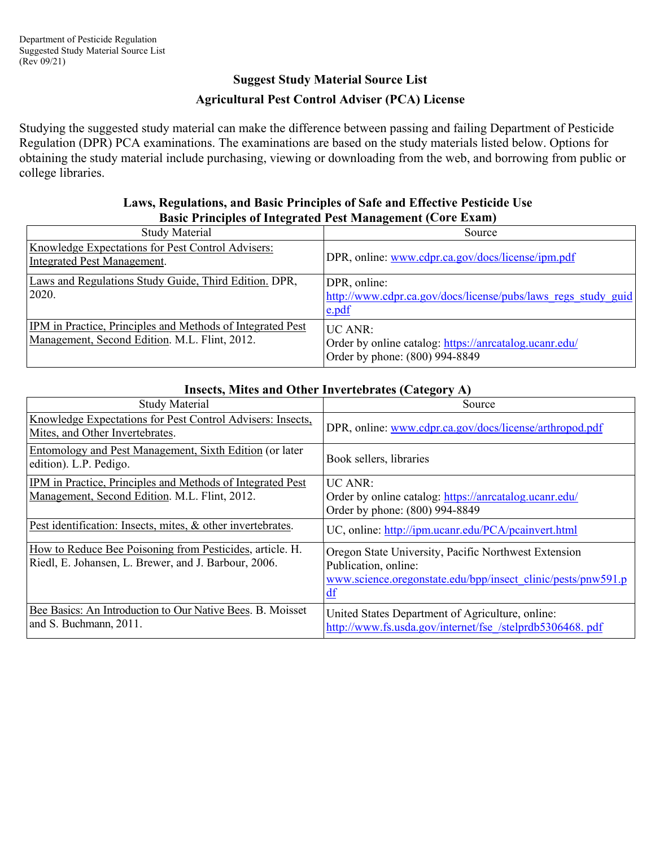## **Suggest Study Material Source List Agricultural Pest Control Adviser (PCA) License**

Studying the suggested study material can make the difference between passing and failing Department of Pesticide Regulation (DPR) PCA examinations. The examinations are based on the study materials listed below. Options for obtaining the study material include purchasing, viewing or downloading from the web, and borrowing from public or college libraries.

#### **Laws, Regulations, and Basic Principles of Safe and Effective Pesticide Use Basic Principles of Integrated Pest Management (Core Exam)**

| <b>Study Material</b>                                                                                       | Source                                                                                                           |
|-------------------------------------------------------------------------------------------------------------|------------------------------------------------------------------------------------------------------------------|
| Knowledge Expectations for Pest Control Advisers:<br>Integrated Pest Management.                            | DPR, online: www.cdpr.ca.gov/docs/license/ipm.pdf                                                                |
| Laws and Regulations Study Guide, Third Edition. DPR,<br>2020.                                              | DPR, online:<br>http://www.cdpr.ca.gov/docs/license/pubs/laws regs study guid<br>e.pdf                           |
| IPM in Practice, Principles and Methods of Integrated Pest<br>Management, Second Edition. M.L. Flint, 2012. | $\overline{UC}$ ANR:<br>Order by online catalog: https://anrcatalog.ucanr.edu/<br>Order by phone: (800) 994-8849 |

| movels, mnes and Other Invertionates (Category 11)                                                               |                                                                                                                                                                 |
|------------------------------------------------------------------------------------------------------------------|-----------------------------------------------------------------------------------------------------------------------------------------------------------------|
| <b>Study Material</b>                                                                                            | Source                                                                                                                                                          |
| Knowledge Expectations for Pest Control Advisers: Insects,<br>Mites, and Other Invertebrates.                    | DPR, online: www.cdpr.ca.gov/docs/license/arthropod.pdf                                                                                                         |
| Entomology and Pest Management, Sixth Edition (or later<br>edition). L.P. Pedigo.                                | Book sellers, libraries                                                                                                                                         |
| IPM in Practice, Principles and Methods of Integrated Pest<br>Management, Second Edition. M.L. Flint, 2012.      | <b>UC ANR:</b><br>Order by online catalog: https://anrcatalog.ucanr.edu/<br>Order by phone: (800) 994-8849                                                      |
| Pest identification: Insects, mites, & other invertebrates.                                                      | UC, online: http://ipm.ucanr.edu/PCA/pcainvert.html                                                                                                             |
| How to Reduce Bee Poisoning from Pesticides, article. H.<br>Riedl, E. Johansen, L. Brewer, and J. Barbour, 2006. | Oregon State University, Pacific Northwest Extension<br>Publication, online:<br>www.science.orgonstate.edu/bpp/insect_clinic/pests/pnw591.p<br>$\underline{df}$ |
| Bee Basics: An Introduction to Our Native Bees. B. Moisset<br>and S. Buchmann, 2011.                             | United States Department of Agriculture, online:<br>http://www.fs.usda.gov/internet/fse /stelprdb5306468.pdf                                                    |

### **Insects, Mites and Other Invertebrates (Category A)**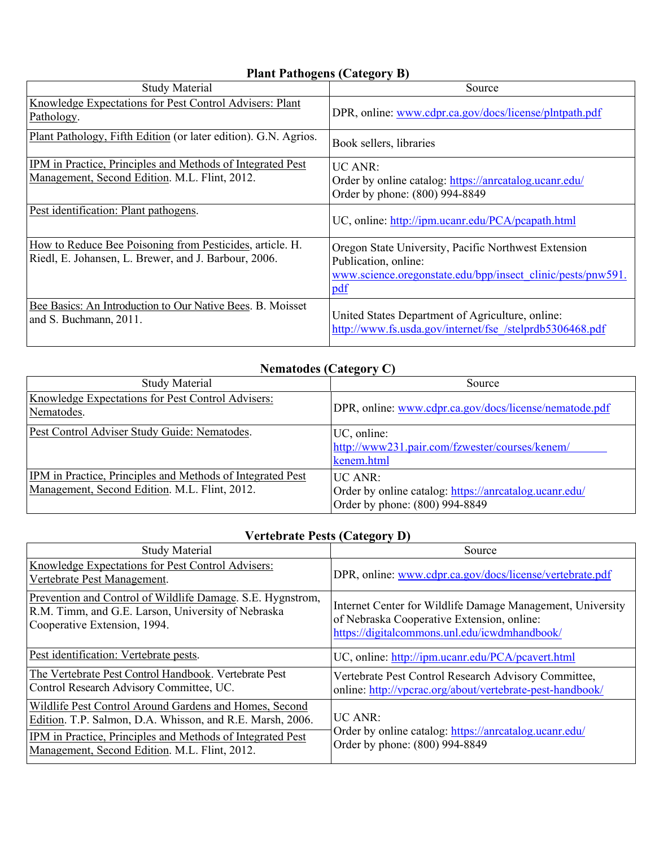# **Plant Pathogens (Category B)**

| <b>Study Material</b>                                                                                            | Source                                                                                                                                             |
|------------------------------------------------------------------------------------------------------------------|----------------------------------------------------------------------------------------------------------------------------------------------------|
| Knowledge Expectations for Pest Control Advisers: Plant<br>Pathology.                                            | DPR, online: www.cdpr.ca.gov/docs/license/plntpath.pdf                                                                                             |
| Plant Pathology, Fifth Edition (or later edition). G.N. Agrios.                                                  | Book sellers, libraries                                                                                                                            |
| IPM in Practice, Principles and Methods of Integrated Pest<br>Management, Second Edition. M.L. Flint, 2012.      | $\overline{UC}$ ANR:<br>Order by online catalog: https://anrcatalog.ucanr.edu/<br>Order by phone: (800) 994-8849                                   |
| Pest identification: Plant pathogens.                                                                            | UC, online: http://ipm.ucanr.edu/PCA/pcapath.html                                                                                                  |
| How to Reduce Bee Poisoning from Pesticides, article. H.<br>Riedl, E. Johansen, L. Brewer, and J. Barbour, 2006. | Oregon State University, Pacific Northwest Extension<br>Publication, online:<br>www.science.org/onstate.edu/bpp/insect_clinic/pests/pnw591.<br>pdf |
| Bee Basics: An Introduction to Our Native Bees. B. Moisset<br>and S. Buchmann, 2011.                             | United States Department of Agriculture, online:<br>http://www.fs.usda.gov/internet/fse /stelprdb5306468.pdf                                       |

### **Nematodes (Category C)**

| <b>Study Material</b>                                                                                       | Source                                                                                                           |
|-------------------------------------------------------------------------------------------------------------|------------------------------------------------------------------------------------------------------------------|
| Knowledge Expectations for Pest Control Advisers:<br>Nematodes.                                             | DPR, online: www.cdpr.ca.gov/docs/license/nematode.pdf                                                           |
| Pest Control Adviser Study Guide: Nematodes.                                                                | UC, online:<br>http://www231.pair.com/fzwester/courses/kenem/<br>kenem.html                                      |
| IPM in Practice, Principles and Methods of Integrated Pest<br>Management, Second Edition. M.L. Flint, 2012. | $\overline{UC}$ ANR:<br>Order by online catalog: https://anrcatalog.ucanr.edu/<br>Order by phone: (800) 994-8849 |

## **Vertebrate Pests (Category D)**

| <b>Study Material</b>                                                                                                                                                                                                              | $\overline{ }$<br>Source                                                                                                                                  |
|------------------------------------------------------------------------------------------------------------------------------------------------------------------------------------------------------------------------------------|-----------------------------------------------------------------------------------------------------------------------------------------------------------|
| Knowledge Expectations for Pest Control Advisers:<br>Vertebrate Pest Management.                                                                                                                                                   | DPR, online: www.cdpr.ca.gov/docs/license/vertebrate.pdf                                                                                                  |
| Prevention and Control of Wildlife Damage. S.E. Hygnstrom,<br>R.M. Timm, and G.E. Larson, University of Nebraska<br>Cooperative Extension, 1994.                                                                                   | Internet Center for Wildlife Damage Management, University<br>of Nebraska Cooperative Extension, online:<br>https://digitalcommons.unl.edu/icwdmhandbook/ |
| Pest identification: Vertebrate pests.                                                                                                                                                                                             | UC, online: http://ipm.ucanr.edu/PCA/pcavert.html                                                                                                         |
| The Vertebrate Pest Control Handbook. Vertebrate Pest<br>Control Research Advisory Committee, UC.                                                                                                                                  | Vertebrate Pest Control Research Advisory Committee,<br>online: http://vpcrac.org/about/vertebrate-pest-handbook/                                         |
| Wildlife Pest Control Around Gardens and Homes, Second<br>Edition. T.P. Salmon, D.A. Whisson, and R.E. Marsh, 2006.<br>IPM in Practice, Principles and Methods of Integrated Pest<br>Management, Second Edition. M.L. Flint, 2012. | $\overline{UC}$ ANR:<br>Order by online catalog: https://anrcatalog.ucanr.edu/<br>Order by phone: (800) 994-8849                                          |